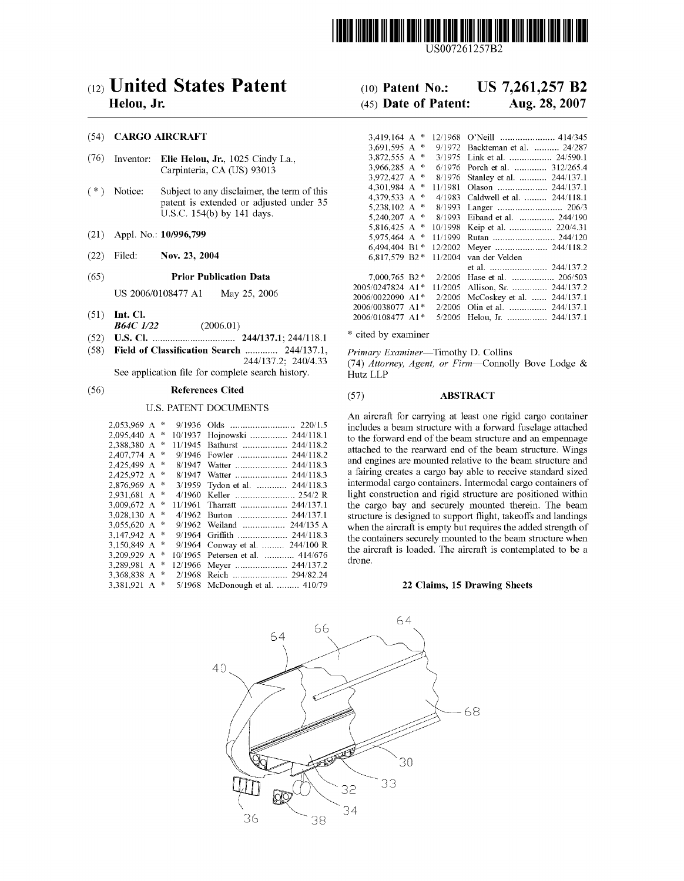

US007261257B2

# (12) United States Patent

# Helou, Jr.

### (54) CARGO AIRCRAFT

- $(76)$ Inventor: Elie Helou, Jr., 1025 Cindy La., Carpinteria, CA (US) 93013
- $(* )$  Notice: Subject to any disclaimer, the term of this patent is extended or adjusted under 35 U.S.C. 154(b) by 141 days.
- Appl. No.: 10/996,799  $(21)$
- $(22)$ Filed: Nov. 23, 2004
- **Prior Publication Data**  $(65)$

US 2006/0108477 A1 May 25, 2006

- $(51)$  Int. Cl. **B64C** 1/22  $(2006.01)$
- 
- (58) Field of Classification Search ............. 244/137.1, 244/137.2; 240/4.33

See application file for complete search history.

#### $(56)$ **References Cited**

### **U.S. PATENT DOCUMENTS**

| 2.053.969 A |   | 啄 | 9/1936  |                                                        |
|-------------|---|---|---------|--------------------------------------------------------|
| 2.095.440 A |   | 永 | 10/1937 | Hojnowski<br>244/118.1                                 |
| 2.388.380 A |   | 咏 | 11/1945 | 244/118.2<br>Bathurst                                  |
| 2,407,774 A |   | 永 | 9/1946  | 244/118.2<br>Fowler                                    |
| 2.425,499 A |   | 啄 | 8/1947  | 244/118.3<br>Watter                                    |
| 2,425,972 A |   | 申 | 8/1947  | 244/118.3<br>Watter                                    |
| 2,876,969 A |   | 永 | 3/1959  | Tydon et al.<br>244/118.3                              |
| 2.931.681 A |   | 永 | 4/1960  | Keller  254/2 R                                        |
| 3.009.672 A |   | 永 | 11/1961 | Tharratt $\dots\dots\dots\dots\dots\dots$<br>244/137.1 |
| 3,028,130 A |   | 永 | 4/1962  | Burton  244/137.1                                      |
| 3.055.620 A |   | 永 | 9/1962  | Weiland  244/135 A                                     |
| 3.147,942 A |   | 崇 | 9/1964  |                                                        |
| 3.150.849 A |   | 永 | 9/1964  | Conway et al.  244/100 R                               |
| 3,209,929 A |   | 崇 | 10/1965 | Petersen et al.  414/676                               |
| 3,289,981   | A | 永 | 12/1966 | Meyer  244/137.2                                       |
| 3.368.838 A |   | 啄 | 2/1968  | Reich  294/82.24                                       |
| 3.381.921   | A | 永 | 5/1968  | McDonough et al.  410/79                               |

### US 7,261,257 B2  $(10)$  Patent No.:

### (45) Date of Patent: Aug. 28, 2007

| 3.419.164 A      | 咏 | 12/1968 |                              |
|------------------|---|---------|------------------------------|
| 3.691.595 A      | 永 | 9/1972  | Backteman et al.  24/287     |
| 3,872,555 A      | 宋 | 3/1975  | Link et al.  24/590.1        |
| 3,966,285 A      | 咏 | 6/1976  | Porch et al.  312/265.4      |
| 3.972,427 A      | 咏 | 8/1976  | Stanley et al.  244/137.1    |
| 4,301,984 A      | 永 | 11/1981 | Olason  244/137.1            |
| 4.379.533 A      | 咏 | 4/1983  | Caldwell et al.  244/118.1   |
| 5,238,102 A      | 永 | 8/1993  |                              |
| 5,240,207 A      | 咏 | 8/1993  | Eiband et al.  244/190       |
| 5,816,425 A      | 幸 | 10/1998 | Keip et al.  220/4.31        |
| 5.975,464 A      | ∗ | 11/1999 | Rutan  244/120               |
| 6.494.404 B1*    |   | 12/2002 | Meyer  244/118.2             |
| 6.817.579 B2*    |   | 11/2004 | van der Velden               |
|                  |   |         |                              |
| 7,000,765 B2 *   |   | 2/2006  | Hase et al.  206/503         |
| 2005/0247824 A1* |   | 11/2005 | Allison, Sr.  244/137.2      |
| 2006/0022090 A1* |   | 2/2006  | 244/137.1<br>McCoskey et al. |
| 2006/0038077 A1* |   | 2/2006  | Olin et al.  244/137.1       |
| 2006/0108477 A1* |   | 5/2006  | Helou, Jr.  244/137.1        |

\* cited by examiner

Primary Examiner-Timothy D. Collins (74) Attorney, Agent, or Firm-Connolly Bove Lodge & Hutz LLP

#### **ABSTRACT**  $(57)$

An aircraft for carrying at least one rigid cargo container includes a beam structure with a forward fuselage attached to the forward end of the beam structure and an empennage attached to the rearward end of the beam structure. Wings and engines are mounted relative to the beam structure and a fairing creates a cargo bay able to receive standard sized intermodal cargo containers. Intermodal cargo containers of light construction and rigid structure are positioned within the cargo bay and securely mounted therein. The beam structure is designed to support flight, takeoffs and landings when the aircraft is empty but requires the added strength of the containers securely mounted to the beam structure when the aircraft is loaded. The aircraft is contemplated to be a drone.

### 22 Claims, 15 Drawing Sheets

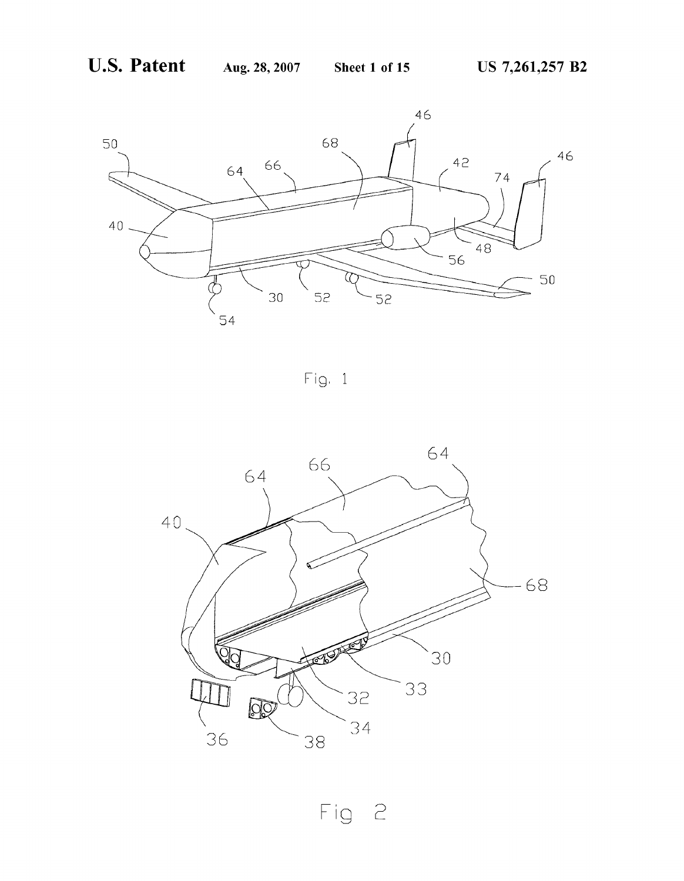

 $Fig. 1$ 



Fig 2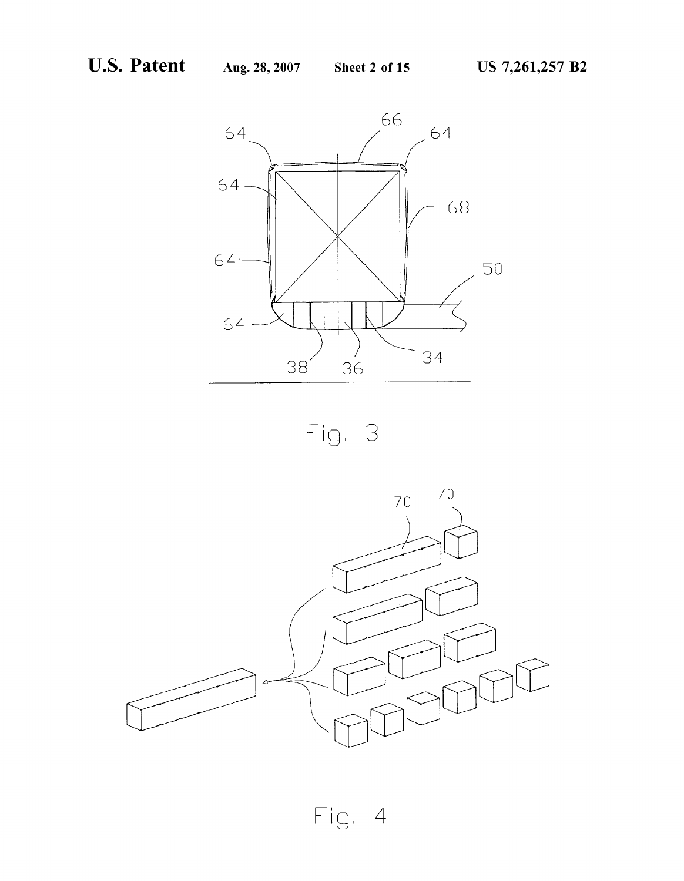



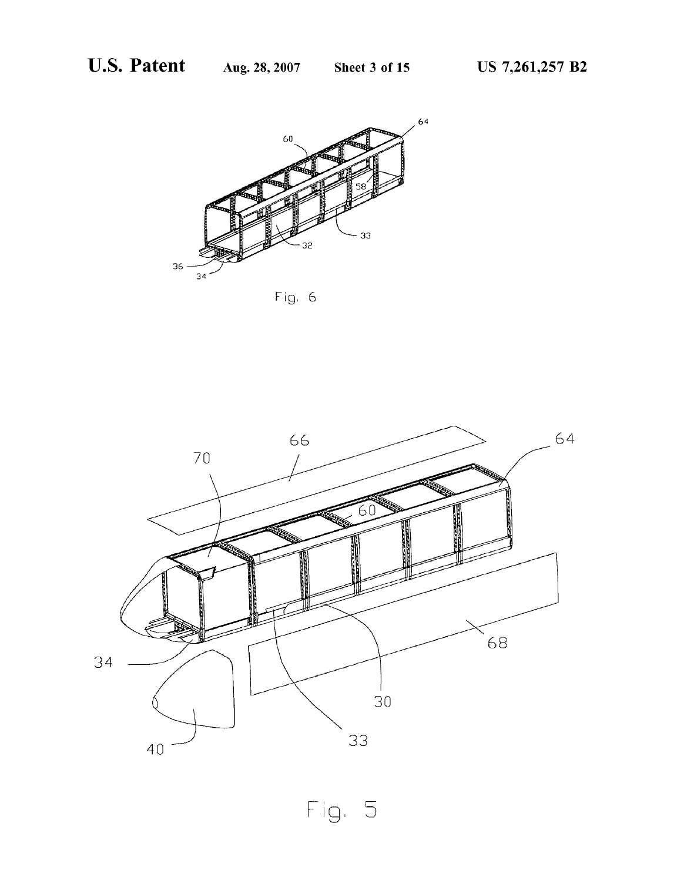

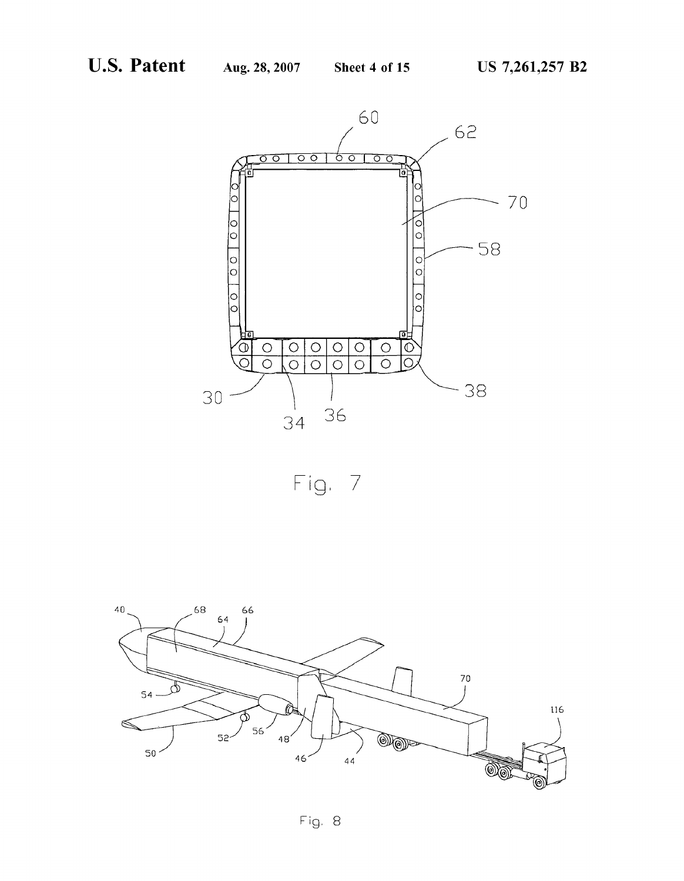

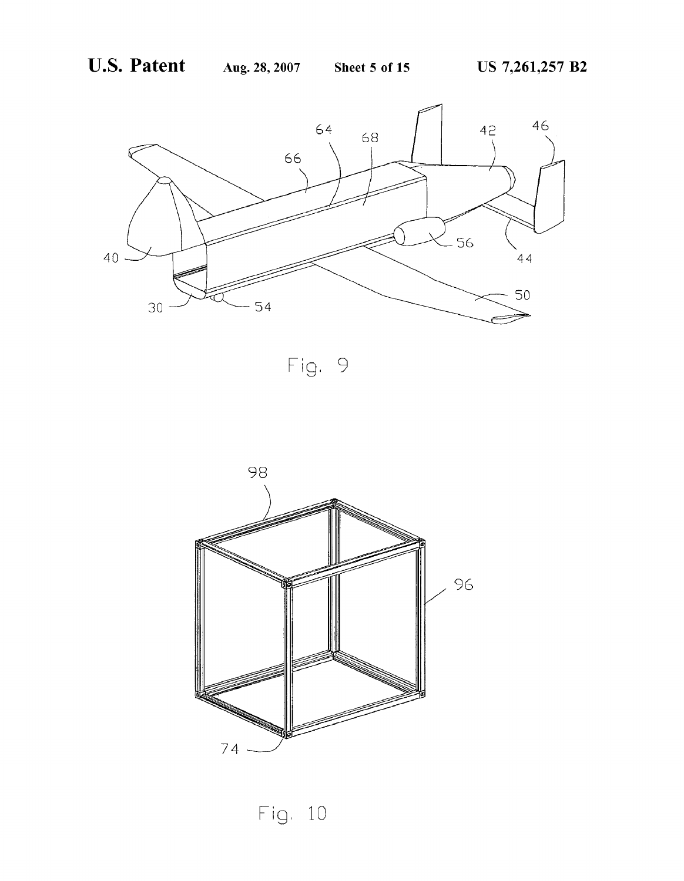



Fig. 10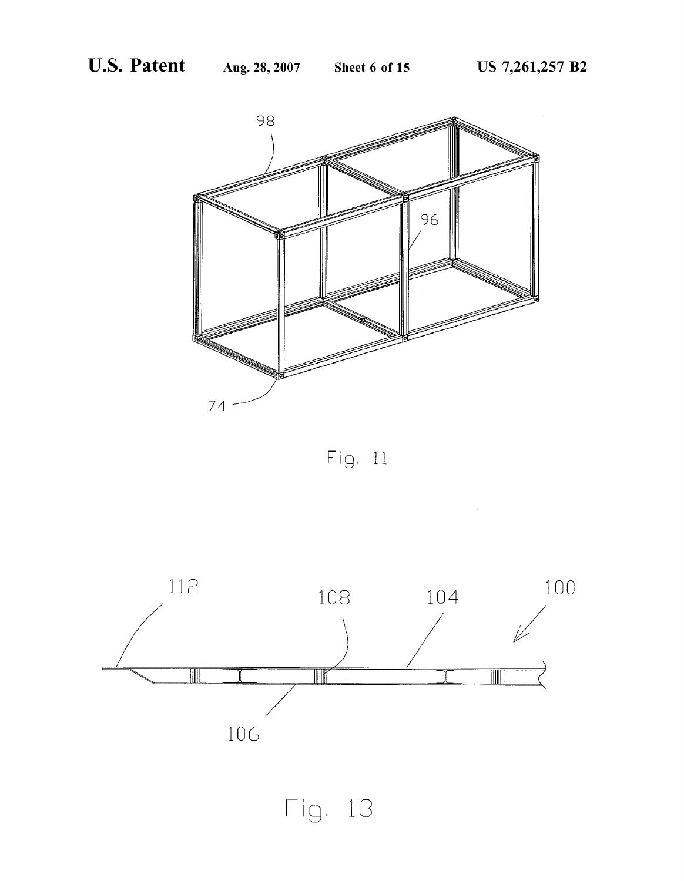

 $Fig. 11$ 

 $\hat{\boldsymbol{\beta}}$ 

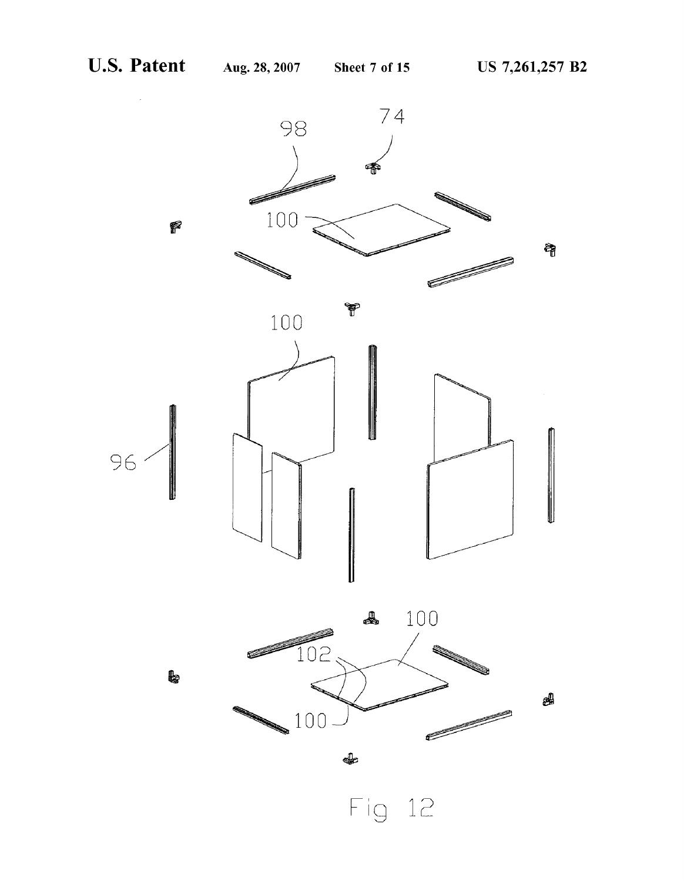

Fig 1E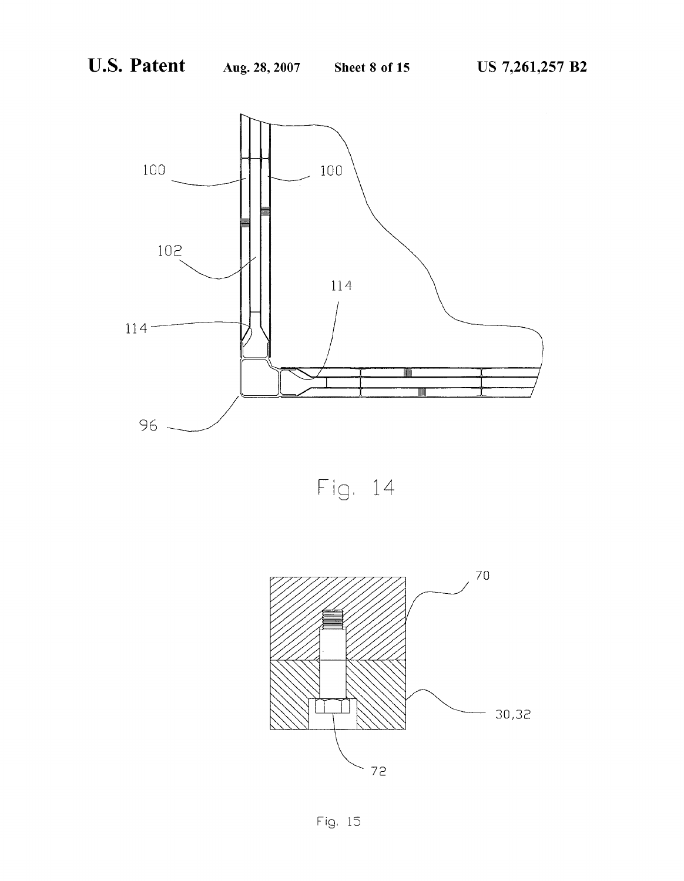

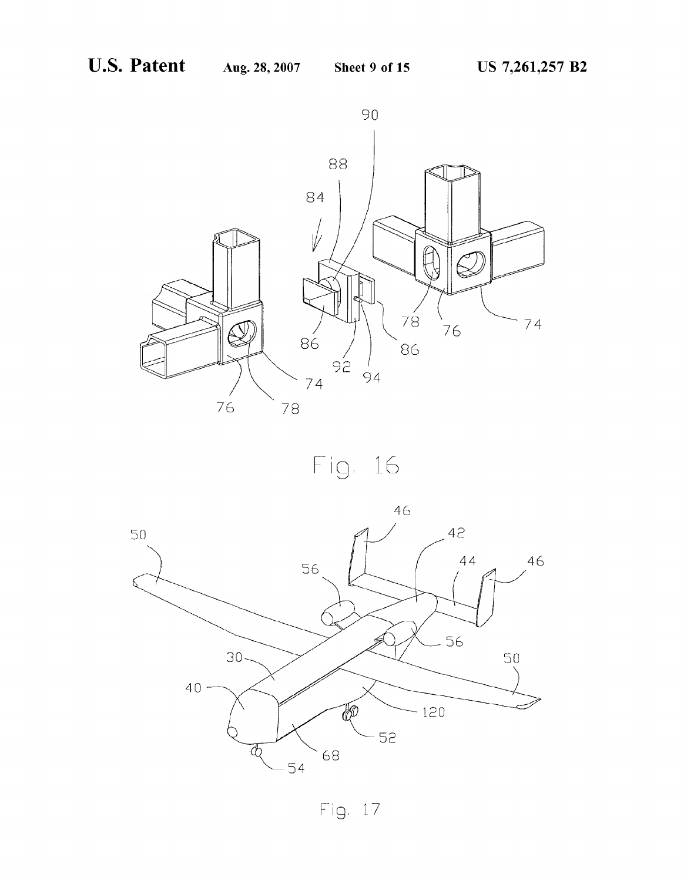



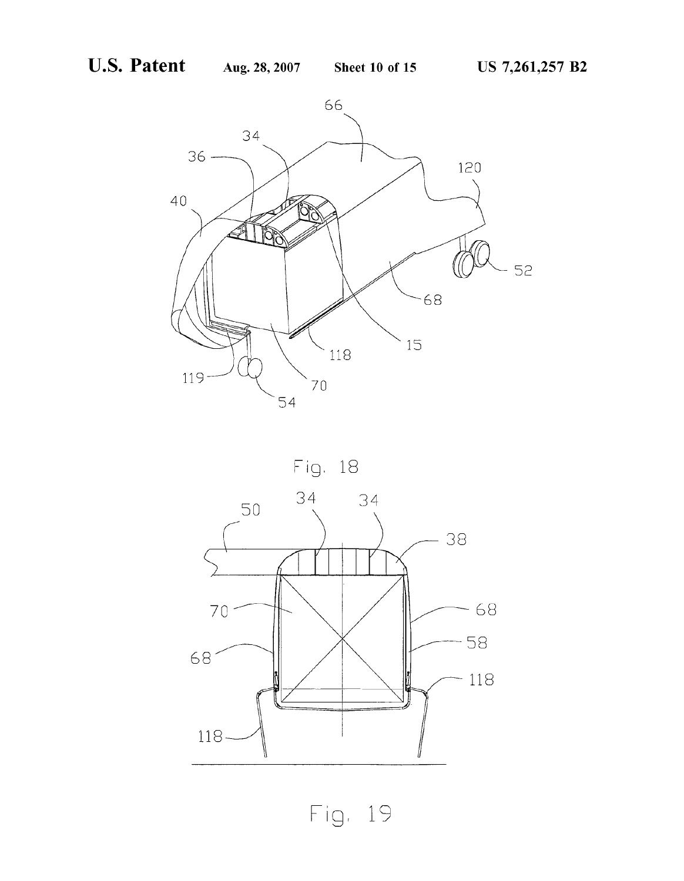



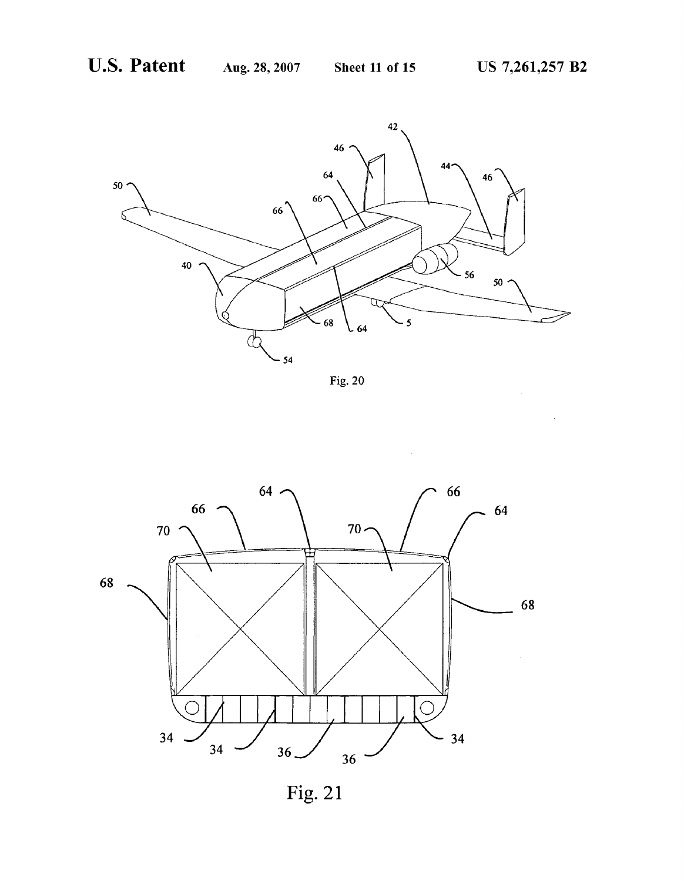





Fig. 21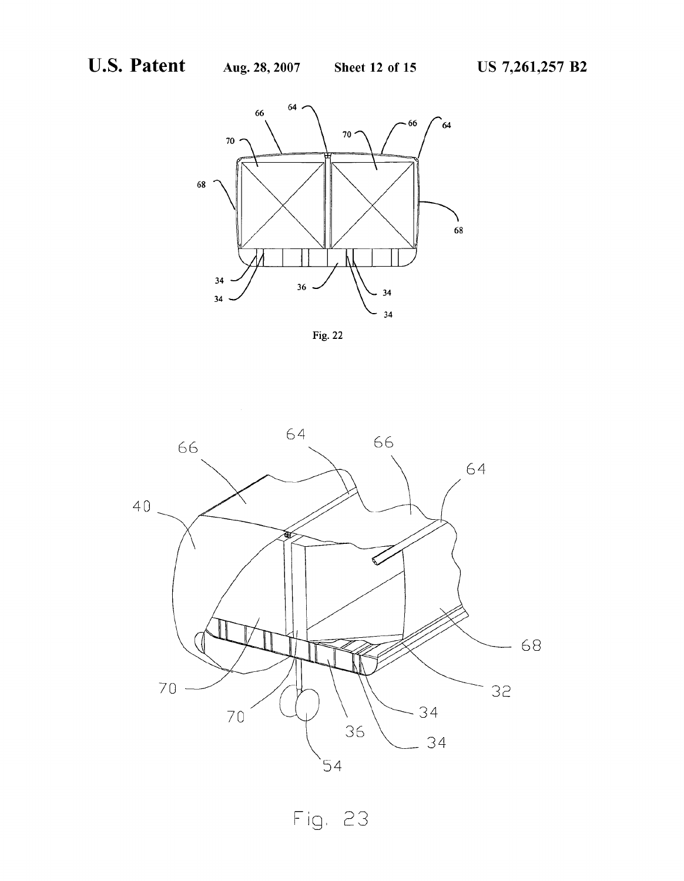



Fig. 23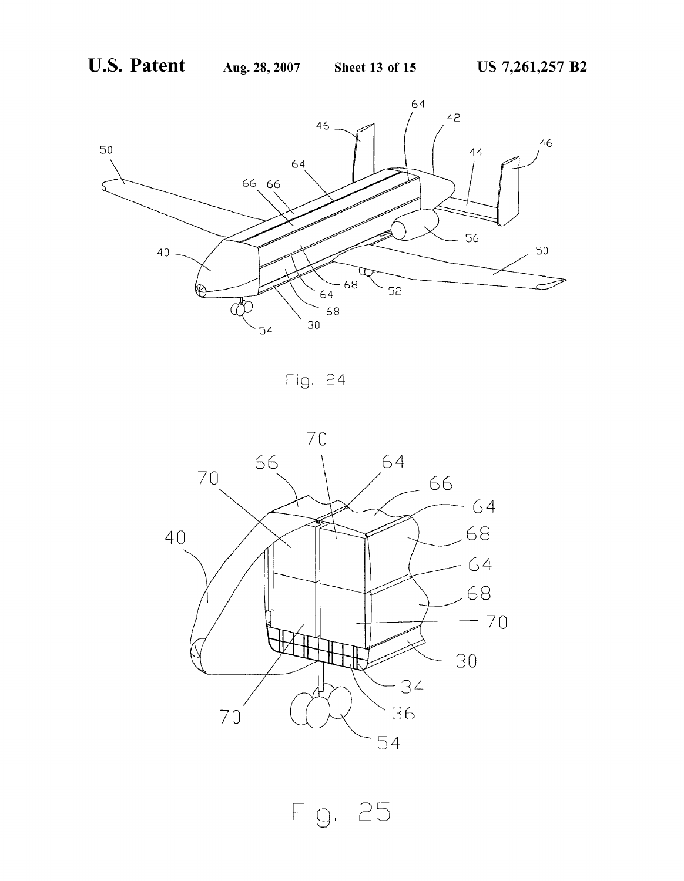

Fig. 24

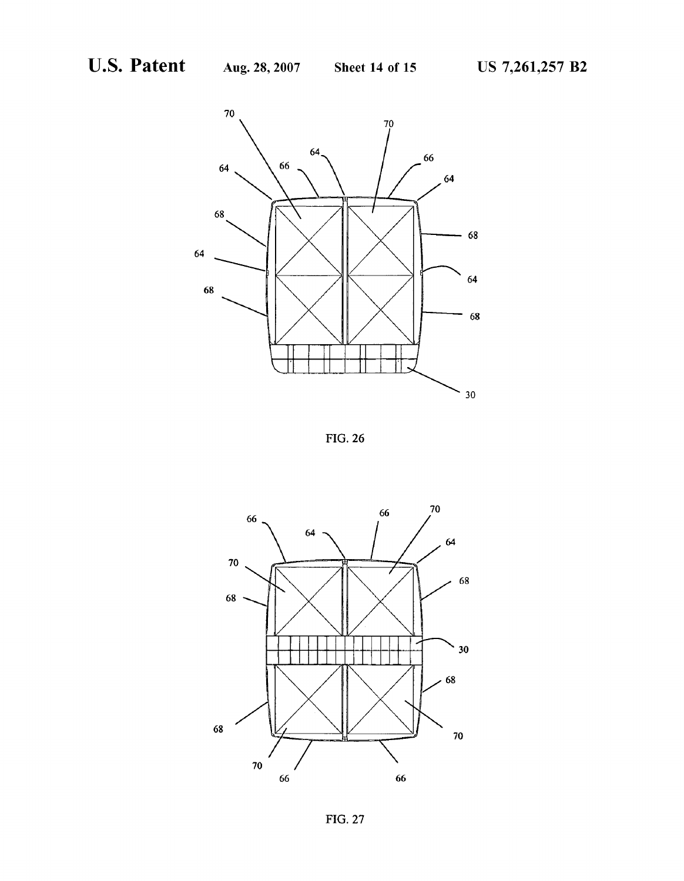

FIG. 26



FIG. 27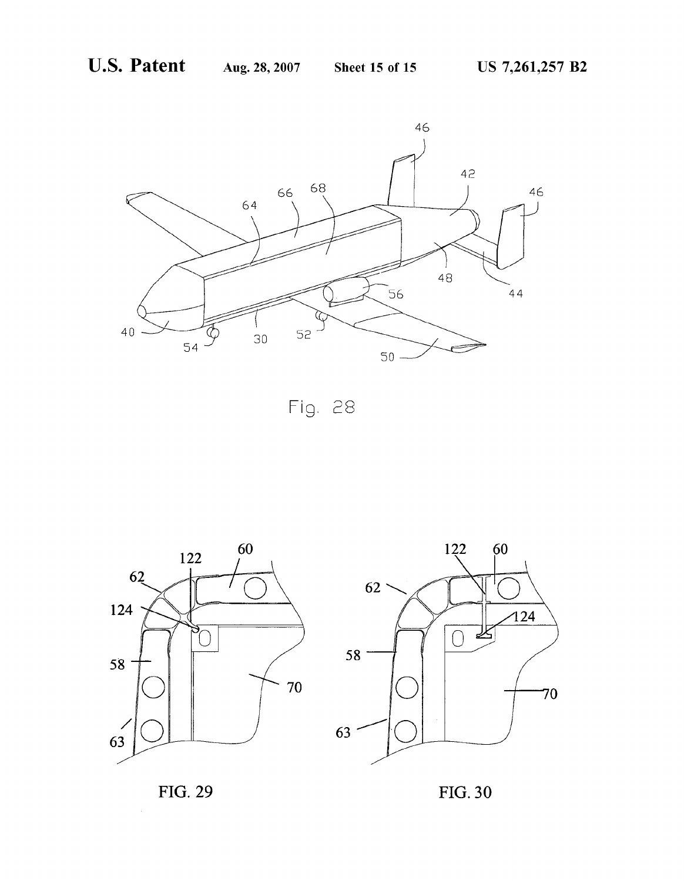

Fig. 28





FIG. 29 FIG. 30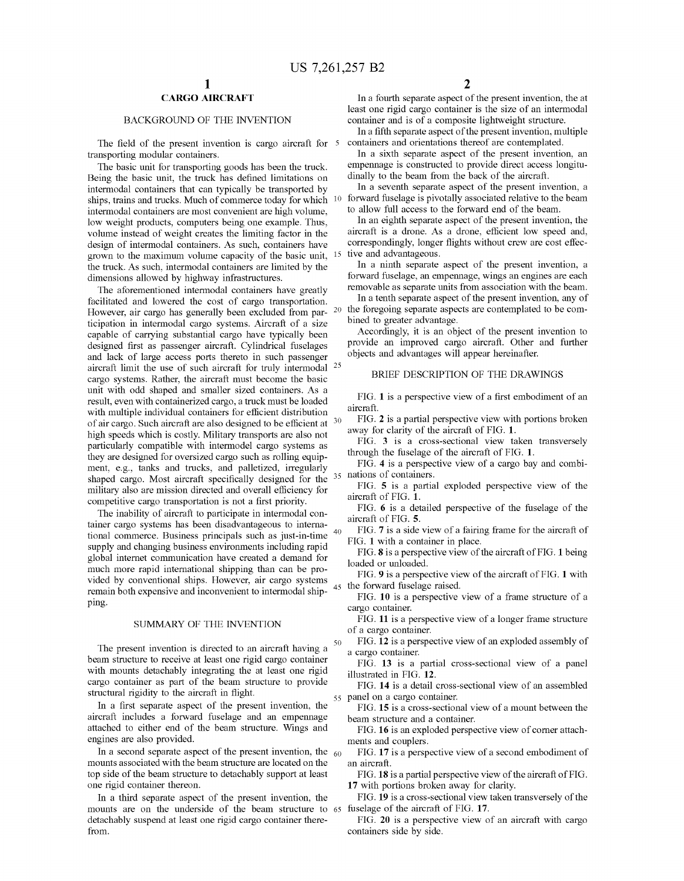10

50

## CARGO AIRCRAFT

### BACKGROUND OF THE INVENTION

The field of the present invention is cargo aircraft for  $\frac{5}{2}$ transporting modular containers.

The basic unit for transporting goods has been the truck. Being the basic unit, the truck has defined limitations on intermodal containers that can typically be transported by ships, trains and trucks. Much of commerce today for Which intermodal containers are most convenient are high volume, loW Weight products, computers being one example. Thus, volume instead of Weight creates the limiting factor in the design of intermodal containers. As such, containers have groWn to the maximum volume capacity of the basic unit, the truck. As such, intermodal containers are limited by the dimensions allowed by highway infrastructures.

The aforementioned intermodal containers have greatly facilitated and loWered the cost of cargo transportation. However, air cargo has generally been excluded from par-  $20$ ticipation in intermodal cargo systems. Aircraft of a size capable of carrying substantial cargo have typically been designed first as passenger aircraft. Cylindrical fuselages and lack of large access ports thereto in such passenger aircraft limit the use of such aircraft for truly intermodal  $25$ cargo systems. Rather, the aircraft must become the basic unit with odd shaped and smaller sized containers. As a result, even with containerized cargo, a truck must be loaded with multiple individual containers for efficient distribution of air cargo. Such aircraft are also designed to be efficient at  $30<sup>30</sup>$ high speeds Which is costly. Military transports are also not particularly compatible With intermodel cargo systems as they are designed for oversized cargo such as rolling equip-<br>ment, e.g., tanks and trucks, and palletized, irregularly ment, e.g., tanks and trucks, and palletiZed, irregularly shaped cargo. Most aircraft specifically designed for the  $35$  nations of containers. military also are mission directed and overall efficiency for competitive cargo transportation is not a first priority.

The inability of aircraft to participate in intermodal con tainer cargo systems has been disadvantageous to interna tional commerce. Business principals such as just-in-time <sup>40</sup> supply and changing business environments including rapid global internet communication have created a demand for much more rapid international shipping than can be pro vided by conventional ships. HoWever, air cargo systems remain both expensive and inconvenient to intermodal ship ping. 45

### SUMMARY OF THE INVENTION

The present invention is directed to an aircraft having a beam structure to receive at least one rigid cargo container with mounts detachably integrating the at least one rigid cargo container as part of the beam structure to provide structural rigidity to the aircraft in flight.

In a first separate aspect of the present invention, the aircraft includes a forward fuselage and an empennage attached to either end of the beam structure. Wings and engines are also provided.

In a second separate aspect of the present invention, the  $_{60}$ mounts associated With the beam structure are located on the top side of the beam structure to detachably support at least one rigid container thereon.

In a third separate aspect of the present invention, the mounts are on the underside of the beam structure to 65 detachably suspend at least one rigid cargo container there from.

In a fourth separate aspect of the present invention, the at least one rigid cargo container is the size of an intermodal container and is of a composite lightweight structure.

In a fifth separate aspect of the present invention, multiple containers and orientations thereof are contemplated.

In a sixth separate aspect of the present invention, an empennage is constructed to provide direct access longitu dinally to the beam from the back of the aircraft.

In a seventh separate aspect of the present invention, a forward fuselage is pivotally associated relative to the beam to allow full access to the forward end of the beam.

In an eighth separate aspect of the present invention, the aircraft is a drone. As a drone, efficient low speed and, correspondingly, longer flights without crew are cost effective and advantageous.

In a ninth separate aspect of the present invention, a forward fuselage, an empennage, wings an engines are each removable as separate units from association With the beam.

In a tenth separate aspect of the present invention, any of the foregoing separate aspects are contemplated to be com bined to greater advantage.

Accordingly, it is an object of the present invention to provide an improved cargo aircraft. Other and further objects and advantages Will appear hereinafter.

### BRIEF DESCRIPTION OF THE DRAWINGS

FIG. 1 is a perspective view of a first embodiment of an aircraft.

FIG. 2 is a partial perspective vieW With portions broken away for clarity of the aircraft of FIG. 1.

FIG. 3 is a cross-sectional vieW taken transversely through the fuselage of the aircraft of FIG. 1.

FIG. 4 is a perspective vieW of a cargo bay and combi

FIG. 5 is a partial exploded perspective vieW of the aircraft of FIG. 1.

FIG. 6 is a detailed perspective of the fuselage of the aircraft of FIG. 5.

FIG. 7 is a side vieW of a fairing frame for the aircraft of FIG. 1 With a container in place.

FIG. 8 is a perspective view of the aircraft of FIG. 1 being loaded or unloaded.

FIG. 9 is a perspective vieW of the aircraft of FIG. 1 With the forward fuselage raised.

FIG. 10 is a perspective vieW of a frame structure of a cargo container.

FIG. 11 is a perspective view of a longer frame structure of a cargo container.

FIG. 12 is a perspective vieW of an exploded assembly of a cargo container.

FIG. 13 is a partial cross-sectional view of a panel illustrated in FIG. 12.

55 panel on a cargo container. FIG. 14 is a detail cross-sectional vieW of an assembled

FIG. **15** is a cross-sectional view of a mount between the beam structure and a container.

FIG. 16 is an exploded perspective view of corner attachments and couplers.

FIG. 17 is a perspective vieW of a second embodiment of an aircraft.

FIG. 18 is a partial perspective view of the aircraft of FIG. 17 With portions broken aWay for clarity.

FIG. 19 is a cross-sectional view taken transversely of the fuselage of the aircraft of FIG. 17.

FIG. 20 is a perspective vieW of an aircraft With cargo containers side by side.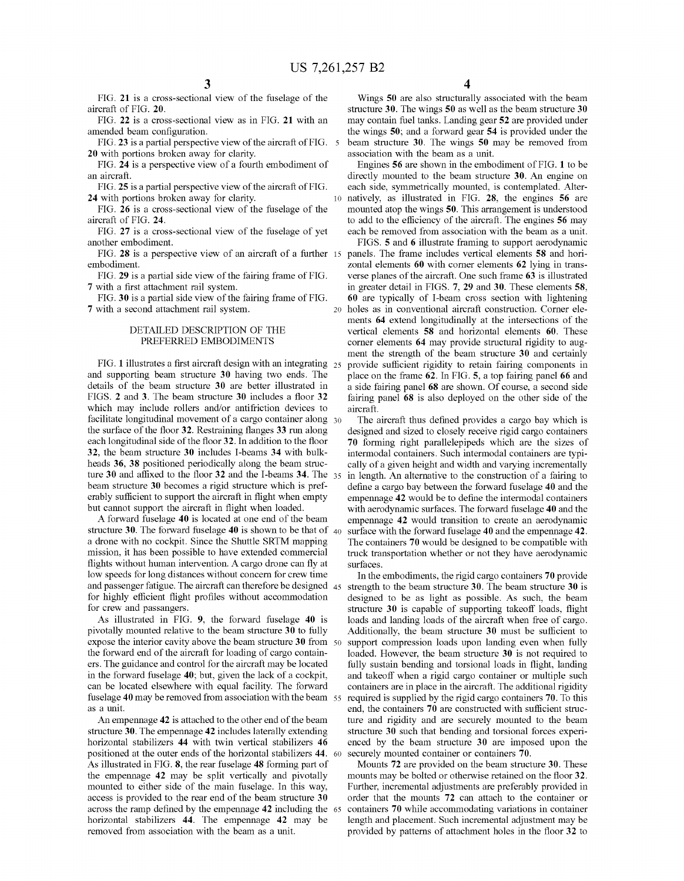10

FIG. 21 is a cross-sectional vieW of the fuselage of the aircraft of FIG. 20.

FIG. 22 is a cross-sectional vieW as in FIG. 21 With an amended beam configuration.

FIG. 23 is a partial perspective view of the aircraft of FIG. 5 20 With portions broken aWay for clarity.

FIG. 24 is a perspective vieW of a fourth embodiment of an aircraft.

FIG. 25 is a partial perspective vieW of the aircraft of FIG. 24 With portions broken aWay for clarity.

FIG. 26 is a cross-sectional vieW of the fuselage of the aircraft of FIG. 24.

FIG. 27 is a cross-sectional vieW of the fuselage of yet another embodiment.

FIG. 28 is a perspective view of an aircraft of a further 15 embodiment.

FIG. 29 is a partial side vieW of the fairing frame of FIG. 7 with a first attachment rail system.

FIG. 30 is a partial side vieW of the fairing frame of FIG. 7 With a second attachment rail system.

### DETAILED DESCRIPTION OF THE PREFERRED EMBODIMENTS

FIG. 1 illustrates a first aircraft design with an integrating  $25$ and supporting beam structure 30 having two ends. The details of the beam structure 30 are better illustrated in FIGS. 2 and 3. The beam structure 30 includes a floor 32 Which may include rollers and/or antifriction devices to facilitate longitudinal movement of a cargo container along 30 the surface of the floor 32. Restraining flanges 33 run along each longitudinal side of the floor 32. In addition to the floor 32, the beam structure 30 includes I-beams 34 With bulk heads 36, 38 positioned periodically along the beam struc ture 30 and affixed to the floor 32 and the I-beams 34. The  $_{35}$ beam structure 30 becomes a rigid structure Which is pref erably sufficient to support the aircraft in flight when empty but cannot support the aircraft in flight when loaded.

A forWard fuselage 40 is located at one end of the beam structure 30. The forward fuselage 40 is shown to be that of  $40$ a drone With no cockpit. Since the Shuttle SRTM mapping mission, it has been possible to have extended commercial flights without human intervention. A cargo drone can fly at low speeds for long distances without concern for crew time and passenger fatigue. The aircraft can therefore be designed 45 for highly efficient flight profiles without accommodation for creW and passangers.

As illustrated in FIG. 9, the forward fuselage 40 is pivotally mounted relative to the beam structure 30 to fully expose the interior cavity above the beam structure 30 from 50 the forward end of the aircraft for loading of cargo containers. The guidance and control for the aircraft may be located in the forward fuselage 40; but, given the lack of a cockpit, can be located elsewhere with equal facility. The forward fuselage 40 may be removed from association With the beam 55 as a unit.

An empennage 42 is attached to the other end of the beam structure 30. The empennage 42 includes laterally extending horizontal stabilizers 44 with twin vertical stabilizers 46 positioned at the outer ends of the horizontal stabilizers 44. As illustrated in FIG. 8, the rear fuselage 48 forming part of the empennage 42 may be split vertically and pivotally mounted to either side of the main fuselage. In this Way, access is provided to the rear end of the beam structure 30 across the ramp defined by the empennage 42 including the 65 horizontal stabilizers 44. The empennage 42 may be removed from association With the beam as a unit.

Wings 50 are also structurally associated With the beam structure 30. The Wings 50 as Well as the beam structure 30 may contain fuel tanks. Landing gear 52 are provided under the Wings 50; and a forWard gear 54 is provided under the beam structure 30. The Wings 50 may be removed from association With the beam as a unit.

Engines 56 are shoWn in the embodiment of FIG. 1 to be directly mounted to the beam structure 30. An engine on each side, symmetrically mounted, is contemplated. Alter natively, as illustrated in FIG. 28, the engines 56 are mounted atop the Wings 50. This arrangement is understood to add to the efficiency of the aircraft. The engines 56 may each be removed from association With the beam as a unit.

20 holes as in conventional aircraft construction. Corner ele FIGS. 5 and 6 illustrate framing to support aerodynamic panels. The frame includes vertical elements 58 and hori zontal elements 60 With comer elements 62 lying in trans verse planes of the aircraft. One such frame 63 is illustrated in greater detail in FIGS. 7, 29 and 30. These elements 58, 60 are typically of I-beam cross section With lightening ments 64 extend longitudinally at the intersections of the vertical elements 58 and horizontal elements 60. These corner elements 64 may provide structural rigidity to aug ment the strength of the beam structure 30 and certainly provide sufficient rigidity to retain fairing components in place on the frame 62. In FIG. 5, a top fairing panel 66 and a side fairing panel 68 are shoWn. Of course, a second side fairing panel 68 is also deployed on the other side of the aircraft.

The aircraft thus defined provides a cargo bay which is designed and sized to closely receive rigid cargo containers 70 forming right parallelepipeds Which are the sizes of intermodal containers. Such intermodal containers are typi cally of a given height and Width and varying incrementally in length. An alternative to the construction of a fairing to define a cargo bay between the forward fuselage 40 and the empennage 42 would be to define the intermodal containers with aerodynamic surfaces. The forward fuselage 40 and the empennage 42 Would transition to create an aerodynamic surface with the forward fuselage 40 and the empennage 42. The containers 70 Would be designed to be compatible With truck transportation Whether or not they have aerodynamic surfaces.

In the embodiments, the rigid cargo containers 70 provide strength to the beam structure 30. The beam structure 30 is designed to be as light as possible. As such, the beam structure 30 is capable of supporting takeoff loads, flight loads and landing loads of the aircraft When free of cargo. Additionally, the beam structure 30 must be sufficient to support compression loads upon landing even When fully loaded. However, the beam structure 30 is not required to fully sustain bending and torsional loads in flight, landing and takeoff when a rigid cargo container or multiple such containers are in place in the aircraft. The additional rigidity required is supplied by the rigid cargo containers 70. To this end, the containers 70 are constructed with sufficient structure and rigidity and are securely mounted to the beam structure 30 such that bending and torsional forces experi enced by the beam structure 30 are imposed upon the securely mounted container or containers 70.

Mounts 72 are provided on the beam structure 30. These mounts may be bolted or otherwise retained on the floor 32. Further, incremental adjustments are preferably provided in order that the mounts 72 can attach to the container or containers 70 While accommodating variations in container length and placement. Such incremental adjustment may be provided by patterns of attachment holes in the floor 32 to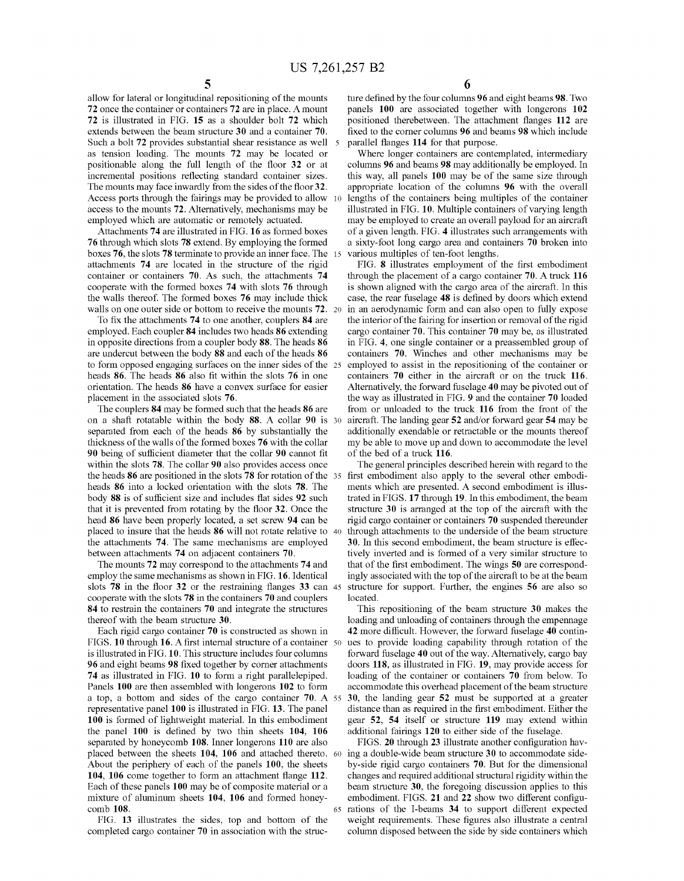allow for lateral or longitudinal repositioning of the mounts 72 once the container or containers 72 are in place. A mount 72 is illustrated in FIG. 15 as a shoulder bolt 72 Which extends between the beam structure 30 and a container 70. Such a bolt 72 provides substantial shear resistance as well 5 as tension loading. The mounts 72 may be located or positionable along the full length of the floor 32 or at incremental positions reflecting standard container sizes. The mounts may face inwardly from the sides of the floor 32. Access ports through the fairings may be provided to alloW  $10$ access to the mounts 72. Alternatively, mechanisms may be employed Which are automatic or remotely actuated.

Attachments 74 are illustrated in FIG. 16 as formed boxes 76 through Which slots 78 extend. By employing the formed boxes 76, the slots 78 terminate to provide an inner face. The attachments 74 are located in the structure of the rigid container or containers 70. As such, the attachments 74 cooperate With the formed boxes 74 With slots 76 through the Walls thereof. The formed boxes 76 may include thick walls on one outer side or bottom to receive the mounts 72. 20

To fix the attachments 74 to one another, couplers 84 are employed. Each coupler 84 includes two heads 86 extending in opposite directions from a coupler body 88. The heads 86 are undercut between the body 88 and each of the heads 86 to form opposed engaging surfaces on the inner sides of the 25 heads 86. The heads 86 also fit within the slots 76 in one orientation. The heads 86 have a convex surface for easier placement in the associated slots 76.

The couplers 84 may be formed such that the heads 86 are on a shaft rotatable Within the body 88. A collar 90 is 30 separated from each of the heads 86 by substantially the thickness of the Walls of the formed boxes 76 With the collar 90 being of sufficient diameter that the collar 90 cannot fit within the slots 78. The collar 90 also provides access once the heads 86 are positioned in the slots 78 for rotation of the 35 heads 86 into a locked orientation With the slots 78. The body 88 is of sufficient size and includes flat sides 92 such that it is prevented from rotating by the floor 32. Once the head 86 have been properly located, a set screw 94 can be placed to insure that the heads 86 Will not rotate relative to 40 the attachments 74. The same mechanisms are employed between attachments 74 on adjacent containers 70.

The mounts 72 may correspond to the attachments 74 and employ the same mechanisms as shoWn in FIG. 16. Identical slots  $78$  in the floor 32 or the restraining flanges 33 can  $45$ cooperate With the slots 78 in the containers 70 and couplers 84 to restrain the containers 70 and integrate the structures thereof With the beam structure 30.

Each rigid cargo container 70 is constructed as shoWn in FIGS. 10 through 16. A first internal structure of a container  $50$ is illustrated in FIG. 10. This structure includes four columns 96 and eight beams 98 fixed together by corner attachments 74 as illustrated in FIG. 10 to form a right parallelepiped. Panels 100 are then assembled With longerons 102 to form a top, a bottom and sides of the cargo container 70. A 55 representative panel 100 is illustrated in FIG. 13. The panel 100 is formed of lightweight material. In this embodiment the panel  $100$  is defined by two thin sheets  $104$ ,  $106$ separated by honeycomb 108. Inner longerons 110 are also placed between the sheets 104, 106 and attached thereto. 60 ing a double-wide beam structure 30 to accommodate side-About the periphery of each of the panels 100, the sheets 104, 106 come together to form an attachment flange 112. Each of these panels 100 may be of composite material or a mixture of aluminum sheets 104, 106 and formed honey comb 108. 65

FIG. 13 illustrates the sides, top and bottom of the completed cargo container 70 in association With the struc

6

ture defined by the four columns 96 and eight beams 98. Two panels 100 are associated together With longerons 102 positioned therebetween. The attachment flanges 112 are fixed to the corner columns 96 and beams 98 which include parallel flanges 114 for that purpose.

Where longer containers are contemplated, intermediary columns 96 and beams 98 may additionally be employed. In this way, all panels 100 may be of the same size through appropriate location of the columns 96 With the overall lengths of the containers being multiples of the container illustrated in FIG. 10. Multiple containers of varying length may be employed to create an overall payload for an aircraft of a given length. FIG. 4 illustrates such arrangements With a sixty-foot long cargo area and containers 70 broken into various multiples of ten-foot lengths.

FIG. 8 illustrates employment of the first embodiment through the placement of a cargo container 70. A truck 116 is shoWn aligned With the cargo area of the aircraft. In this case, the rear fuselage 48 is defined by doors which extend in an aerodynamic form and can also open to fully expose the interior of the fairing for insertion or removal of the rigid cargo container 70. This container 70 may be, as illustrated in FIG. 4, one single container or a preassembled group of containers 70. Winches and other mechanisms may be employed to assist in the repositioning of the container or containers 70 either in the aircraft or on the truck 116. Alternatively, the forward fuselage 40 may be pivoted out of the Way as illustrated in FIG. 9 and the container 70 loaded from or unloaded to the truck 116 from the front of the aircraft. The landing gear 52 and/or forward gear 54 may be additionally exendable or retractable or the mounts thereof my be able to move up and doWn to accommodate the level of the bed of a truck 116.

The general principles described herein With regard to the first embodiment also apply to the several other embodiments Which are presented. A second embodiment is illus trated in FIGS. 17 through 19. In this embodiment, the beam structure 30 is arranged at the top of the aircraft With the rigid cargo container or containers 70 suspended thereunder through attachments to the underside of the beam structure 30. In this second embodiment, the beam structure is effec tively inverted and is formed of a very similar structure to that of the first embodiment. The wings 50 are correspondingly associated With the top of the aircraft to be at the beam structure for support. Further, the engines 56 are also so located.

This repositioning of the beam structure 30 makes the loading and unloading of containers through the empennage 42 more difficult. However, the forward fuselage 40 continues to provide loading capability through rotation of the forWard fuselage 40 out of the Way. Alternatively, cargo bay doors 118, as illustrated in FIG. 19, may provide access for loading of the container or containers 70 from beloW. To accommodate this overhead placement of the beam structure 30, the landing gear 52 must be supported at a greater distance than as required in the first embodiment. Either the gear 52, 54 itself or structure 119 may extend Within additional fairings 120 to either side of the fuselage.

FIGS. 20 through 23 illustrate another configuration havby-side rigid cargo containers 70. But for the dimensional changes and required additional structural rigidity Within the beam structure 30, the foregoing discussion applies to this embodiment. FIGS. 21 and 22 show two different configurations of the I-beams 34 to support different expected weight requirements. These figures also illustrate a central column disposed betWeen the side by side containers Which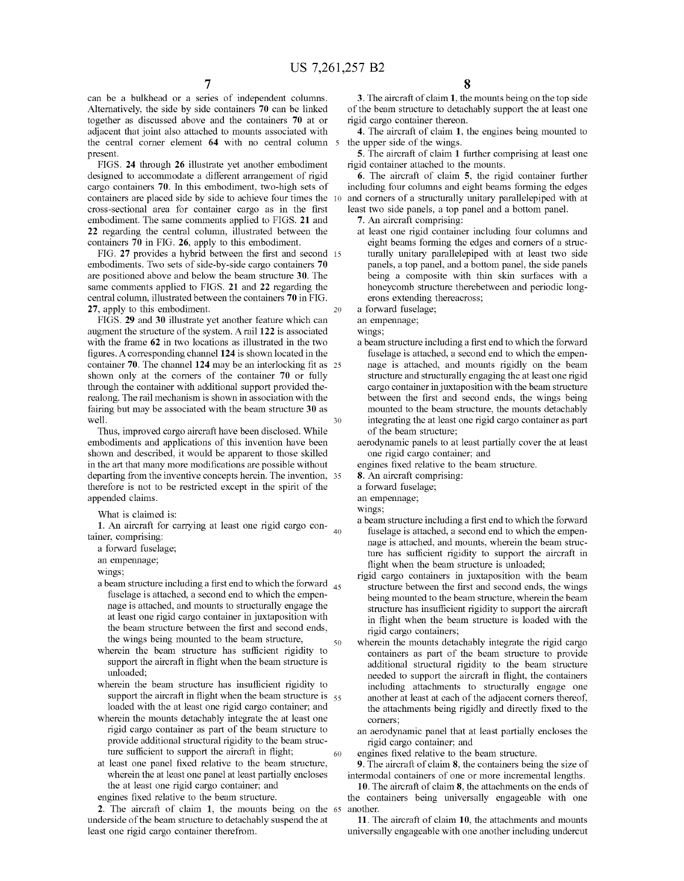$\frac{7}{2}$  can be a bulkhead or a series of independent columns. Alternatively, the side by side containers 70 can be linked together as discussed above and the containers 70 at or adjacent that joint also attached to mounts associated With the central corner element 64 with no central column 5 present.

FIGS. 24 through 26 illustrate yet another embodiment designed to accommodate a different arrangement of rigid cargo containers 70. In this embodiment, two-high sets of containers are placed side by side to achieve four times the cross-sectional area for container cargo as in the first embodiment. The same comments applied to FIGS. 21 and 22 regarding the central column, illustrated between the containers 70 in FIG. 26, apply to this embodiment.

FIG. 27 provides a hybrid between the first and second 15 embodiments. TWo sets of side-by-side cargo containers 70 are positioned above and beloW the beam structure 30. The same comments applied to FIGS. 21 and 22 regarding the central column, illustrated between the containers 70 in FIG. 27, apply to this embodiment. 20

FIGS. 29 and 30 illustrate yet another feature Which can augment the structure of the system. Arail 122 is associated with the frame 62 in two locations as illustrated in the two figures. A corresponding channel 124 is shown located in the container 70. The channel  $124$  may be an interlocking fit as  $25$ shoWn only at the comers of the container 70 or fully through the container With additional support provided the realong. The rail mechanism is shown in association with the fairing but may be associated With the beam structure 30 as Well. 30

Thus, improved cargo aircraft have been disclosed. While embodiments and applications of this invention have been shoWn and described, it Would be apparent to those skilled in the art that many more modifications are possible without departing from the inventive concepts herein. The invention, 35 therefore is not to be restricted except in the spirit of the appended claims.

What is claimed is:

1. An aircraft for carrying at least one rigid cargo con tainer, comprising:<br>a forward fuselage;  $40$ 

an empennage;

Wings;

- a beam structure including a first end to which the forward  $_{45}$ fuselage is attached, a second end to Which the empen nage is attached, and mounts to structurally engage the at least one rigid cargo container in juxtaposition With the beam structure between the first and second ends, the Wings being mounted to the beam structure, 50
- wherein the beam structure has sufficient rigidity to support the aircraft in flight when the beam structure is unloaded;
- wherein the beam structure has insufficient rigidity to support the aircraft in flight when the beam structure is  $55$ loaded With the at least one rigid cargo container; and
- wherein the mounts detachably integrate the at least one rigid cargo container as part of the beam structure to provide additional structural rigidity to the beam struc ture sufficient to support the aircraft in flight; 60
- at least one panel fixed relative to the beam structure, Wherein the at least one panel at least partially encloses the at least one rigid cargo container; and

engines fixed relative to the beam structure.

2. The aircraft of claim 1, the mounts being on the 65 underside of the beam structure to detachably suspend the at least one rigid cargo container therefrom.

3. The aircraft of claim 1, the mounts being on the top side of the beam structure to detachably support the at least one rigid cargo container thereon.

4. The aircraft of claim 1, the engines being mounted to the upper side of the Wings.

5. The aircraft of claim 1 further comprising at least one rigid container attached to the mounts.

6. The aircraft of claim 5, the rigid container further including four columns and eight beams forming the edges and corners of a structurally unitary parallelepiped With at least two side panels, a top panel and a bottom panel.

- 7. An aircraft comprising:
- 
- at least one rigid container including four columns and eight beams forming the edges and comers of a struc turally unitary parallelepiped with at least two side panels, a top panel, and a bottom panel, the side panels being a composite With thin skin surfaces With a honeycomb structure therebetween and periodic longerons extending thereacross;<br>a forward fuselage;

an empennage;

Wings;

- a beam structure including a first end to which the forward fuselage is attached, a second end to Which the empen nage is attached, and mounts rigidly on the beam structure and structurally engaging the at least one rigid cargo container in juxtaposition With the beam structure between the first and second ends, the wings being mounted to the beam structure, the mounts detachably integrating the at least one rigid cargo container as part of the beam structure;
- aerodynamic panels to at least partially cover the at least one rigid cargo container; and
- engines fixed relative to the beam structure.
- 8. An aircraft comprising:
- a forWard fuselage;

an empennage;

- Wings;
- a beam structure including a first end to which the forward fuselage is attached, a second end to Which the empen nage is attached, and mounts, Wherein the beam struc ture has sufficient rigidity to support the aircraft in flight when the beam structure is unloaded;
- rigid cargo containers in juxtaposition With the beam structure between the first and second ends, the wings being mounted to the beam structure, Wherein the beam structure has insufficient rigidity to support the aircraft in flight when the beam structure is loaded with the rigid cargo containers;
- wherein the mounts detachably integrate the rigid cargo containers as part of the beam structure to provide additional structural rigidity to the beam structure needed to support the aircraft in flight, the containers including attachments to structurally engage one another at least at each of the adjacent comers thereof, the attachments being rigidly and directly fixed to the corners;
- an aerodynamic panel that at least partially encloses the rigid cargo container; and

engines fixed relative to the beam structure.

9. The aircraft of claim  $8$ , the containers being the size of intermodal containers of one or more incremental lengths.

10. The aircraft of claim 8, the attachments on the ends of the containers being universally engageable With one another.

11. The aircraft of claim 10, the attachments and mounts universally engageable With one another including undercut